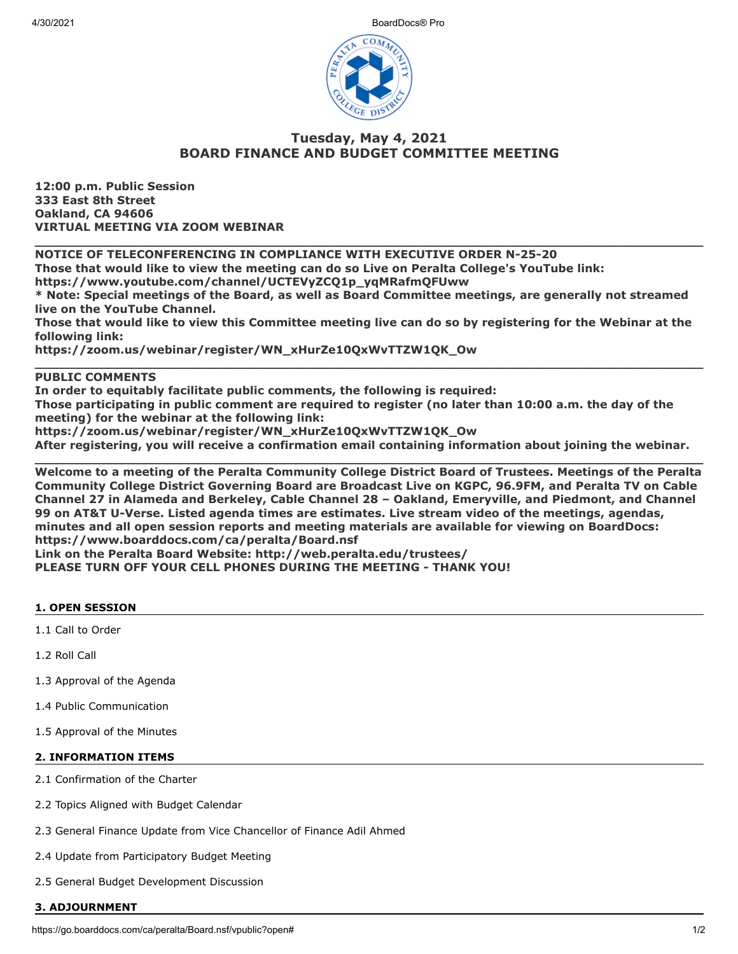4/30/2021 BoardDocs® Pro



# **Tuesday, May 4, 2021 BOARD FINANCE AND BUDGET COMMITTEE MEETING**

**12:00 p.m. Public Session 333 East 8th Street Oakland, CA 94606 VIRTUAL MEETING VIA ZOOM WEBINAR**

**NOTICE OF TELECONFERENCING IN COMPLIANCE WITH EXECUTIVE ORDER N-25-20**

**Those that would like to view the meeting can do so Live on Peralta College's YouTube link:**

**https://www.youtube.com/channel/UCTEVyZCQ1p\_yqMRafmQFUww**

**\* Note: Special meetings of the Board, as well as Board Committee meetings, are generally not streamed live on the YouTube Channel.**

**\_\_\_\_\_\_\_\_\_\_\_\_\_\_\_\_\_\_\_\_\_\_\_\_\_\_\_\_\_\_\_\_\_\_\_\_\_\_\_\_\_\_\_\_\_\_\_\_\_\_\_\_\_\_\_\_\_\_\_\_\_\_\_\_\_\_\_\_\_\_\_\_\_\_\_\_\_\_\_\_\_\_\_\_\_**

**Those that would like to view this Committee meeting live can do so by registering for the Webinar at the following link:**

**\_\_\_\_\_\_\_\_\_\_\_\_\_\_\_\_\_\_\_\_\_\_\_\_\_\_\_\_\_\_\_\_\_\_\_\_\_\_\_\_\_\_\_\_\_\_\_\_\_\_\_\_\_\_\_\_\_\_\_\_\_\_\_\_\_\_\_\_\_\_\_\_\_\_\_\_\_\_\_\_\_\_\_\_\_**

**https://zoom.us/webinar/register/WN\_xHurZe10QxWvTTZW1QK\_Ow**

## **PUBLIC COMMENTS**

**In order to equitably facilitate public comments, the following is required:**

**Those participating in public comment are required to register (no later than 10:00 a.m. the day of the meeting) for the webinar at the following link:**

**https://zoom.us/webinar/register/WN\_xHurZe10QxWvTTZW1QK\_Ow**

**After registering, you will receive a confirmation email containing information about joining the webinar. \_\_\_\_\_\_\_\_\_\_\_\_\_\_\_\_\_\_\_\_\_\_\_\_\_\_\_\_\_\_\_\_\_\_\_\_\_\_\_\_\_\_\_\_\_\_\_\_\_\_\_\_\_\_\_\_\_\_\_\_\_\_\_\_\_\_\_\_\_\_\_\_\_\_\_\_\_\_\_\_\_\_\_\_\_**

**Welcome to a meeting of the Peralta Community College District Board of Trustees. Meetings of the Peralta Community College District Governing Board are Broadcast Live on KGPC, 96.9FM, and Peralta TV on Cable Channel 27 in Alameda and Berkeley, Cable Channel 28 – Oakland, Emeryville, and Piedmont, and Channel 99 on AT&T U-Verse. Listed agenda times are estimates. Live stream video of the meetings, agendas, minutes and all open session reports and meeting materials are available for viewing on BoardDocs: https://www.boarddocs.com/ca/peralta/Board.nsf Link on the Peralta Board Website: http://web.peralta.edu/trustees/**

**PLEASE TURN OFF YOUR CELL PHONES DURING THE MEETING - THANK YOU!**

#### **1. OPEN SESSION**

1.1 Call to Order

1.2 Roll Call

- 1.3 Approval of the Agenda
- 1.4 Public Communication
- 1.5 Approval of the Minutes

### **2. INFORMATION ITEMS**

- 2.1 Confirmation of the Charter
- 2.2 Topics Aligned with Budget Calendar
- 2.3 General Finance Update from Vice Chancellor of Finance Adil Ahmed
- 2.4 Update from Participatory Budget Meeting
- 2.5 General Budget Development Discussion

#### **3. ADJOURNMENT**